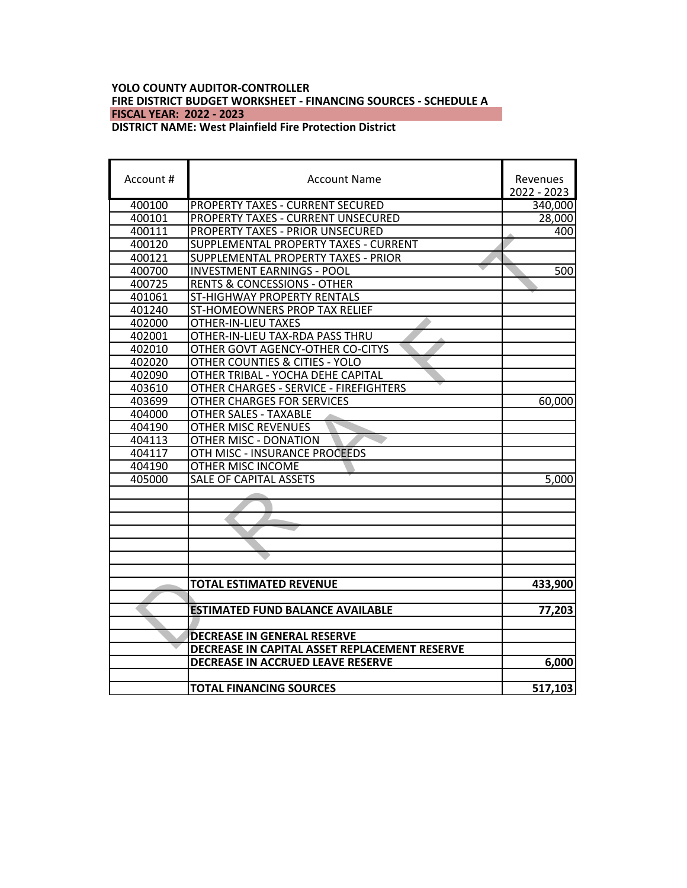# **YOLO COUNTY AUDITOR-CONTROLLER FIRE DISTRICT BUDGET WORKSHEET - FINANCING SOURCES - SCHEDULE A FISCAL YEAR: 2022 - 2023**

# **DISTRICT NAME: West Plainfield Fire Protection District**

| Account # | <b>Account Name</b>                           | Revenues<br>2022 - 2023 |
|-----------|-----------------------------------------------|-------------------------|
| 400100    | <b>PROPERTY TAXES - CURRENT SECURED</b>       | 340,000                 |
| 400101    | PROPERTY TAXES - CURRENT UNSECURED            | 28,000                  |
| 400111    | PROPERTY TAXES - PRIOR UNSECURED              | 400                     |
| 400120    | SUPPLEMENTAL PROPERTY TAXES - CURRENT         |                         |
| 400121    | SUPPLEMENTAL PROPERTY TAXES - PRIOR           |                         |
| 400700    | <b>INVESTMENT EARNINGS - POOL</b>             | 500                     |
| 400725    | <b>RENTS &amp; CONCESSIONS - OTHER</b>        |                         |
| 401061    | ST-HIGHWAY PROPERTY RENTALS                   |                         |
| 401240    | ST-HOMEOWNERS PROP TAX RELIEF                 |                         |
| 402000    | OTHER-IN-LIEU TAXES                           |                         |
| 402001    | OTHER-IN-LIEU TAX-RDA PASS THRU               |                         |
| 402010    | OTHER GOVT AGENCY-OTHER CO-CITYS              |                         |
| 402020    | OTHER COUNTIES & CITIES - YOLO                |                         |
| 402090    | OTHER TRIBAL - YOCHA DEHE CAPITAL             |                         |
| 403610    | OTHER CHARGES - SERVICE - FIREFIGHTERS        |                         |
| 403699    | OTHER CHARGES FOR SERVICES                    | 60,000                  |
| 404000    | <b>OTHER SALES - TAXABLE</b>                  |                         |
| 404190    | OTHER MISC REVENUES                           |                         |
| 404113    | OTHER MISC - DONATION                         |                         |
| 404117    | OTH MISC - INSURANCE PROCEEDS                 |                         |
| 404190    | OTHER MISC INCOME                             |                         |
| 405000    | SALE OF CAPITAL ASSETS                        | 5,000                   |
|           |                                               |                         |
|           |                                               |                         |
|           |                                               |                         |
|           |                                               |                         |
|           |                                               |                         |
|           |                                               |                         |
|           |                                               |                         |
|           | <b>TOTAL ESTIMATED REVENUE</b>                | 433,900                 |
|           |                                               |                         |
|           | <b>ESTIMATED FUND BALANCE AVAILABLE</b>       | 77,203                  |
|           |                                               |                         |
|           | <b>DECREASE IN GENERAL RESERVE</b>            |                         |
|           | DECREASE IN CAPITAL ASSET REPLACEMENT RESERVE |                         |
|           | DECREASE IN ACCRUED LEAVE RESERVE             | 6,000                   |
|           |                                               |                         |
|           | <b>TOTAL FINANCING SOURCES</b>                | 517,103                 |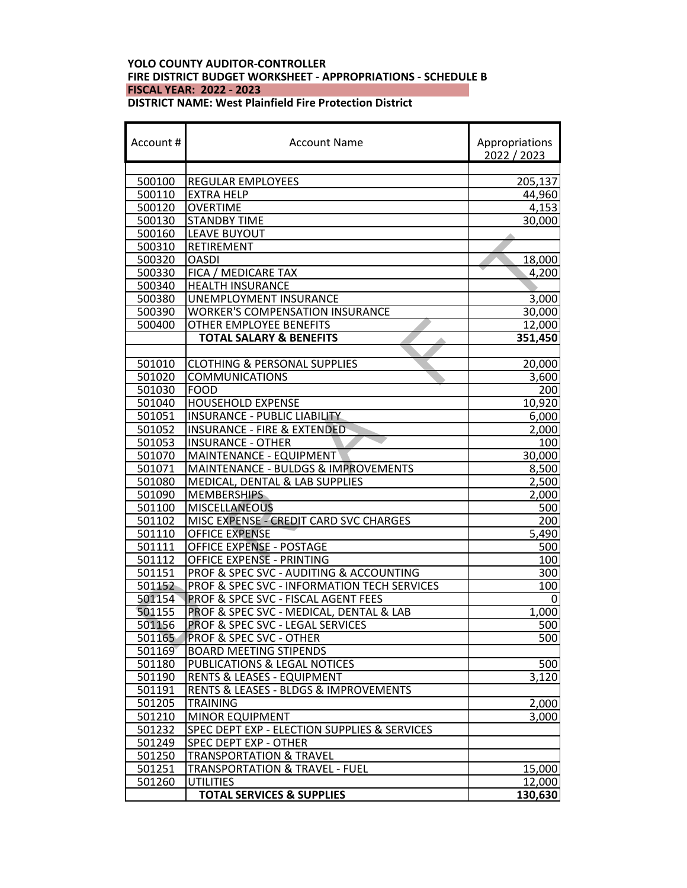## **YOLO COUNTY AUDITOR-CONTROLLER FIRE DISTRICT BUDGET WORKSHEET - APPROPRIATIONS - SCHEDULE B FISCAL YEAR: 2022 - 2023 DISTRICT NAME: West Plainfield Fire Protection District**

| Account#<br><b>Account Name</b> |                                                               | Appropriations<br>2022 / 2023 |  |  |
|---------------------------------|---------------------------------------------------------------|-------------------------------|--|--|
|                                 |                                                               | 205,137                       |  |  |
| 500100                          | <b>REGULAR EMPLOYEES</b>                                      |                               |  |  |
|                                 | 500110<br><b>EXTRA HELP</b>                                   |                               |  |  |
| 500120                          | <b>OVERTIME</b>                                               | 4,153                         |  |  |
| 500130                          | <b>STANDBY TIME</b>                                           | $\overline{30,000}$           |  |  |
| 500160                          | <b>LEAVE BUYOUT</b><br><b>RETIREMENT</b>                      |                               |  |  |
| 500310                          | <b>OASDI</b>                                                  |                               |  |  |
| 500320<br>500330                |                                                               | 18,000<br>4,200               |  |  |
| 500340                          | FICA / MEDICARE TAX<br><b>HEALTH INSURANCE</b>                |                               |  |  |
| 500380                          | UNEMPLOYMENT INSURANCE                                        | 3,000                         |  |  |
| 500390                          | <b>WORKER'S COMPENSATION INSURANCE</b>                        | 30,000                        |  |  |
| 500400                          |                                                               |                               |  |  |
|                                 | OTHER EMPLOYEE BENEFITS<br><b>TOTAL SALARY &amp; BENEFITS</b> | 12,000<br>351,450             |  |  |
|                                 |                                                               |                               |  |  |
| 501010                          | <b>CLOTHING &amp; PERSONAL SUPPLIES</b>                       | 20,000                        |  |  |
| 501020                          | <b>COMMUNICATIONS</b>                                         | 3,600                         |  |  |
| 501030                          | <b>FOOD</b>                                                   | 200                           |  |  |
| 501040                          | <b>HOUSEHOLD EXPENSE</b>                                      | 10,920                        |  |  |
| 501051                          | <b>INSURANCE - PUBLIC LIABILITY</b>                           | 6,000                         |  |  |
| 501052                          | <b>INSURANCE - FIRE &amp; EXTENDED</b>                        | 2,000                         |  |  |
| 501053                          | <b>INSURANCE - OTHER</b>                                      | 100                           |  |  |
| 501070                          | MAINTENANCE - EQUIPMENT                                       | 30,000                        |  |  |
| 501071                          | MAINTENANCE - BULDGS & IMPROVEMENTS                           | 8,500                         |  |  |
| 501080                          | MEDICAL, DENTAL & LAB SUPPLIES                                | 2,500                         |  |  |
| 501090                          | <b>MEMBERSHIPS</b>                                            | 2,000                         |  |  |
| 501100                          | <b>MISCELLANEOUS</b>                                          | 500                           |  |  |
| 501102                          | MISC EXPENSE - CREDIT CARD SVC CHARGES                        | 200                           |  |  |
| 501110                          | <b>OFFICE EXPENSE</b>                                         | 5,490                         |  |  |
| 501111                          | <b>OFFICE EXPENSE - POSTAGE</b>                               | 500                           |  |  |
| 501112                          | OFFICE EXPENSE - PRINTING                                     | 100                           |  |  |
| 501151                          | PROF & SPEC SVC - AUDITING & ACCOUNTING                       | 300                           |  |  |
| 501152                          | PROF & SPEC SVC - INFORMATION TECH SERVICES                   | 100                           |  |  |
| 501154                          | PROF & SPCE SVC - FISCAL AGENT FEES                           | 0                             |  |  |
| 501155                          | PROF & SPEC SVC - MEDICAL, DENTAL & LAB                       | 1,000                         |  |  |
| 501156                          | PROF & SPEC SVC - LEGAL SERVICES                              | 500                           |  |  |
| 501165                          | <b>PROF &amp; SPEC SVC - OTHER</b>                            | 500                           |  |  |
| 501169                          | <b>BOARD MEETING STIPENDS</b>                                 |                               |  |  |
| 501180                          | PUBLICATIONS & LEGAL NOTICES                                  | 500                           |  |  |
| 501190                          | <b>RENTS &amp; LEASES - EQUIPMENT</b>                         | 3,120                         |  |  |
| 501191                          | <b>RENTS &amp; LEASES - BLDGS &amp; IMPROVEMENTS</b>          |                               |  |  |
| 501205                          | <b>TRAINING</b>                                               | 2,000                         |  |  |
| 501210                          | <b>MINOR EQUIPMENT</b>                                        | 3,000                         |  |  |
| 501232                          | <b>SPEC DEPT EXP - ELECTION SUPPLIES &amp; SERVICES</b>       |                               |  |  |
| 501249                          | SPEC DEPT EXP - OTHER                                         |                               |  |  |
| 501250                          | <b>TRANSPORTATION &amp; TRAVEL</b>                            |                               |  |  |
| 501251                          | <b>TRANSPORTATION &amp; TRAVEL - FUEL</b>                     | 15,000                        |  |  |
| 501260                          | <b>UTILITIES</b>                                              | 12,000                        |  |  |
|                                 | <b>TOTAL SERVICES &amp; SUPPLIES</b>                          | 130,630                       |  |  |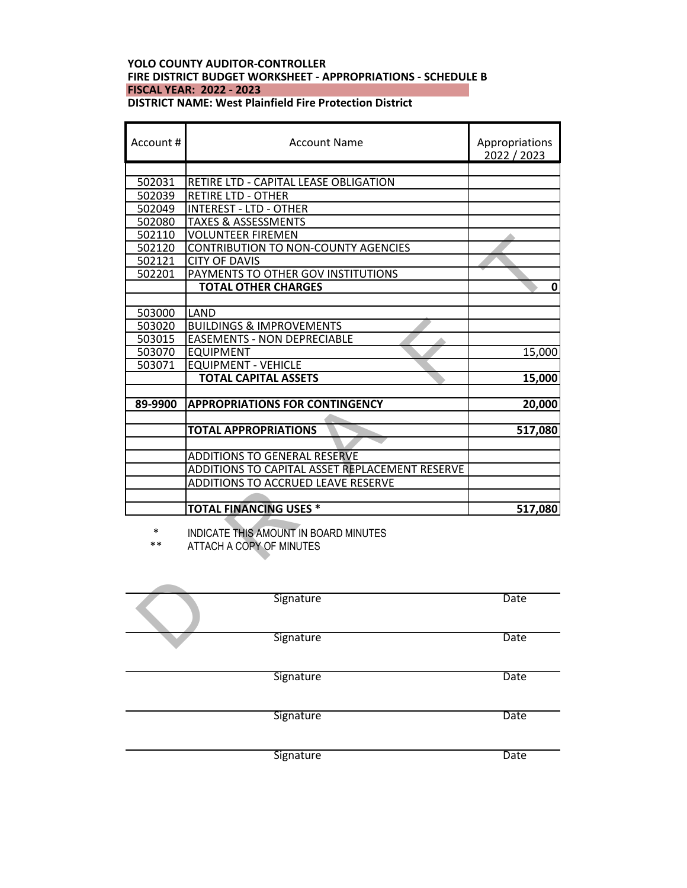# **YOLO COUNTY AUDITOR-CONTROLLER FIRE DISTRICT BUDGET WORKSHEET - APPROPRIATIONS - SCHEDULE B FISCAL YEAR: 2022 - 2023 DISTRICT NAME: West Plainfield Fire Protection District**

| Account #       | Account Name                                                                         | Appropriations<br>2022 / 2023 |
|-----------------|--------------------------------------------------------------------------------------|-------------------------------|
| 502031          | RETIRE LTD - CAPITAL LEASE OBLIGATION                                                |                               |
| 502039          | <b>RETIRE LTD - OTHER</b>                                                            |                               |
| 502049          | <b>INTEREST - LTD - OTHER</b>                                                        |                               |
| 502080          | <b>TAXES &amp; ASSESSMENTS</b>                                                       |                               |
| 502110          | <b>VOLUNTEER FIREMEN</b>                                                             |                               |
| 502120          | <b>CONTRIBUTION TO NON-COUNTY AGENCIES</b>                                           |                               |
| 502121          | <b>CITY OF DAVIS</b>                                                                 |                               |
| 502201          | PAYMENTS TO OTHER GOV INSTITUTIONS                                                   |                               |
|                 | <b>TOTAL OTHER CHARGES</b>                                                           | 0                             |
|                 |                                                                                      |                               |
| 503000          | <b>LAND</b>                                                                          |                               |
| 503020          | <b>BUILDINGS &amp; IMPROVEMENTS</b>                                                  |                               |
| 503015          | <b>EASEMENTS - NON DEPRECIABLE</b>                                                   |                               |
| 503070          | <b>EQUIPMENT</b>                                                                     | 15,000                        |
| 503071          | <b>EQUIPMENT - VEHICLE</b>                                                           |                               |
|                 | <b>TOTAL CAPITAL ASSETS</b>                                                          | 15,000                        |
| 89-9900         | <b>APPROPRIATIONS FOR CONTINGENCY</b>                                                | 20,000                        |
|                 |                                                                                      |                               |
|                 | <b>TOTAL APPROPRIATIONS</b>                                                          | 517,080                       |
|                 |                                                                                      |                               |
|                 | <b>ADDITIONS TO GENERAL RESERVE</b>                                                  |                               |
|                 | ADDITIONS TO CAPITAL ASSET REPLACEMENT RESERVE<br>ADDITIONS TO ACCRUED LEAVE RESERVE |                               |
|                 |                                                                                      |                               |
|                 | <b>TOTAL FINANCING USES *</b>                                                        | 517,080                       |
| $\ast$<br>$***$ | INDICATE THIS AMOUNT IN BOARD MINUTES<br>ATTACH A COPY OF MINUTES                    |                               |
|                 | Signature                                                                            | Date                          |
|                 | Signature                                                                            | Date                          |

| Signature | Date |
|-----------|------|
| Signature | Date |
| Signature | Date |
| Signature | Date |
| Signature | Date |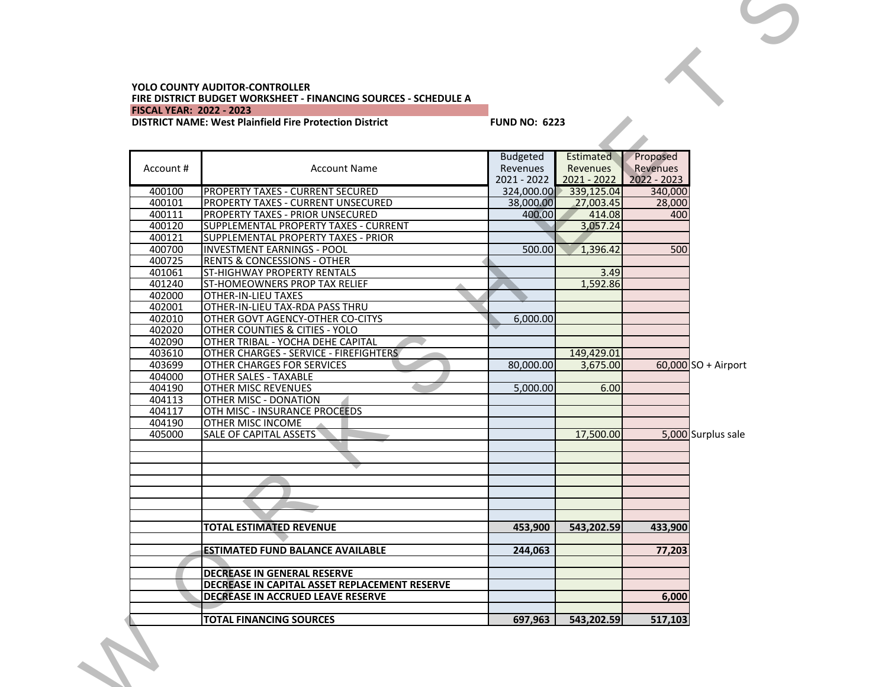#### **YOLO COUNTY AUDITOR-CONTROLLER FIRE DISTRICT BUDGET WORKSHEET - FINANCING SOURCES - SCHEDULE A FISCAL YEAR: 2022 - 2023**

# **DISTRICT NAME: West Plainfield Fire Protection District FUND NO: 6223**

|           | <b>DISTRICT NAME: West Plainfield Fire Protection District</b> | <b>FUND NO: 6223</b>                              |                                                    |                                       |                       |
|-----------|----------------------------------------------------------------|---------------------------------------------------|----------------------------------------------------|---------------------------------------|-----------------------|
|           |                                                                |                                                   |                                                    |                                       |                       |
| Account # | <b>Account Name</b>                                            | <b>Budgeted</b><br><b>Revenues</b><br>2021 - 2022 | <b>Estimated</b><br><b>Revenues</b><br>2021 - 2022 | Proposed<br>Revenues<br>$2022 - 2023$ |                       |
| 400100    | <b>PROPERTY TAXES - CURRENT SECURED</b>                        | 324,000.00                                        | 339,125.04                                         | 340,000                               |                       |
| 400101    | PROPERTY TAXES - CURRENT UNSECURED                             | 38,000.00                                         | 27,003.45                                          | 28,000                                |                       |
| 400111    | PROPERTY TAXES - PRIOR UNSECURED                               | 400.00                                            | 414.08                                             | 400                                   |                       |
| 400120    | SUPPLEMENTAL PROPERTY TAXES - CURRENT                          |                                                   | 3,057.24                                           |                                       |                       |
| 400121    | SUPPLEMENTAL PROPERTY TAXES - PRIOR                            |                                                   |                                                    |                                       |                       |
| 400700    | <b>INVESTMENT EARNINGS - POOL</b>                              | 500.00                                            | 1,396.42                                           | 500                                   |                       |
| 400725    | <b>RENTS &amp; CONCESSIONS - OTHER</b>                         |                                                   |                                                    |                                       |                       |
| 401061    | <b>ST-HIGHWAY PROPERTY RENTALS</b>                             |                                                   | 3.49                                               |                                       |                       |
| 401240    | ST-HOMEOWNERS PROP TAX RELIEF                                  |                                                   | 1,592.86                                           |                                       |                       |
| 402000    | <b>OTHER-IN-LIEU TAXES</b>                                     |                                                   |                                                    |                                       |                       |
| 402001    | OTHER-IN-LIEU TAX-RDA PASS THRU                                |                                                   |                                                    |                                       |                       |
| 402010    | OTHER GOVT AGENCY-OTHER CO-CITYS                               | 6.000.00                                          |                                                    |                                       |                       |
| 402020    | OTHER COUNTIES & CITIES - YOLO                                 |                                                   |                                                    |                                       |                       |
| 402090    | OTHER TRIBAL - YOCHA DEHE CAPITAL                              |                                                   |                                                    |                                       |                       |
| 403610    | OTHER CHARGES - SERVICE - FIREFIGHTERS                         |                                                   | 149,429.01                                         |                                       |                       |
| 403699    | OTHER CHARGES FOR SERVICES                                     | 80.000.00                                         | 3,675.00                                           |                                       | $60,000$ SO + Airport |
| 404000    | <b>OTHER SALES - TAXABLE</b>                                   |                                                   |                                                    |                                       |                       |
| 404190    | <b>OTHER MISC REVENUES</b>                                     | 5,000.00                                          | 6.00                                               |                                       |                       |
| 404113    | OTHER MISC - DONATION                                          |                                                   |                                                    |                                       |                       |
| 404117    | OTH MISC - INSURANCE PROCEEDS                                  |                                                   |                                                    |                                       |                       |
| 404190    | OTHER MISC INCOME                                              |                                                   |                                                    |                                       |                       |
| 405000    | SALE OF CAPITAL ASSETS                                         |                                                   | 17,500.00                                          |                                       | 5,000 Surplus sale    |
|           |                                                                |                                                   |                                                    |                                       |                       |
|           |                                                                |                                                   |                                                    |                                       |                       |
|           |                                                                |                                                   |                                                    |                                       |                       |
|           | <b>TOTAL ESTIMATED REVENUE</b>                                 | 453,900                                           | 543,202.59                                         | 433,900                               |                       |
|           |                                                                |                                                   |                                                    |                                       |                       |
|           | <b>ESTIMATED FUND BALANCE AVAILABLE</b>                        | 244,063                                           |                                                    | 77,203                                |                       |
|           |                                                                |                                                   |                                                    |                                       |                       |
|           | DECREASE IN GENERAL RESERVE                                    |                                                   |                                                    |                                       |                       |
|           | DECREASE IN CAPITAL ASSET REPLACEMENT RESERVE                  |                                                   |                                                    |                                       |                       |
|           | DECREASE IN ACCRUED LEAVE RESERVE                              |                                                   |                                                    | 6,000                                 |                       |
|           |                                                                |                                                   |                                                    |                                       |                       |
|           | <b>TOTAL FINANCING SOURCES</b>                                 | 697,963                                           | 543,202.59                                         | 517,103                               |                       |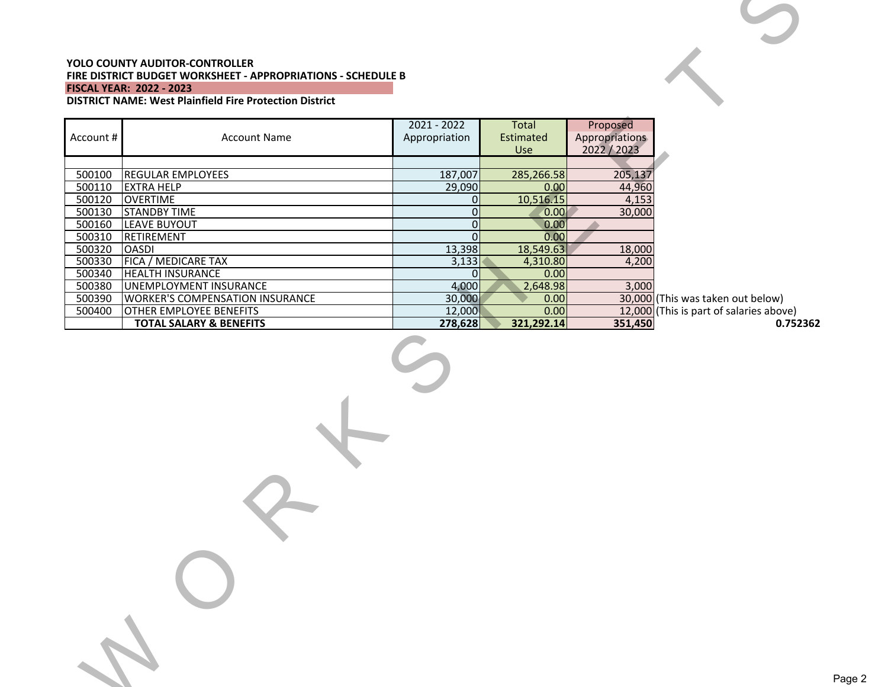### **YOLO COUNTY AUDITOR-CONTROLLER FIRE DISTRICT BUDGET WORKSHEET - APPROPRIATIONS - SCHEDULE B FISCAL YEAR: 2022 - 2023**

W

| <b>YOLO COUNTY AUDITOR-CONTROLLER</b><br>FIRE DISTRICT BUDGET WORKSHEET - APPROPRIATIONS - SCHEDULE B<br><b>FISCAL YEAR: 2022 - 2023</b><br><b>DISTRICT NAME: West Plainfield Fire Protection District</b> |                                        |                                |                           |                                         |                                         |  |
|------------------------------------------------------------------------------------------------------------------------------------------------------------------------------------------------------------|----------------------------------------|--------------------------------|---------------------------|-----------------------------------------|-----------------------------------------|--|
| Account #                                                                                                                                                                                                  | <b>Account Name</b>                    | $2021 - 2022$<br>Appropriation | Total<br>Estimated<br>Use | Proposed<br>Appropriations<br>2022/2023 |                                         |  |
|                                                                                                                                                                                                            |                                        |                                |                           |                                         |                                         |  |
| 500100                                                                                                                                                                                                     | <b>REGULAR EMPLOYEES</b>               | 187,007                        | 285,266.58                | 205,137                                 |                                         |  |
| 500110                                                                                                                                                                                                     | <b>EXTRA HELP</b>                      | 29,090                         | 0.00                      | 44,960                                  |                                         |  |
| 500120                                                                                                                                                                                                     | <b>OVERTIME</b>                        | 0                              | 10,516.15                 | 4,153                                   |                                         |  |
| 500130                                                                                                                                                                                                     | <b>STANDBY TIME</b>                    | $\mathbf 0$                    | 0.00                      | 30,000                                  |                                         |  |
| 500160                                                                                                                                                                                                     | LEAVE BUYOUT                           | $\overline{0}$                 | 0.00                      |                                         |                                         |  |
| 500310                                                                                                                                                                                                     | RETIREMENT                             | $\Omega$                       | 0.00                      |                                         |                                         |  |
| 500320                                                                                                                                                                                                     | <b>OASDI</b>                           | 13,398                         | 18,549.63                 | 18,000                                  |                                         |  |
| 500330                                                                                                                                                                                                     | FICA / MEDICARE TAX                    | 3,133                          | 4,310.80                  | 4,200                                   |                                         |  |
| 500340                                                                                                                                                                                                     | <b>HEALTH INSURANCE</b>                | $\Omega$                       | 0.00                      |                                         |                                         |  |
| 500380                                                                                                                                                                                                     | UNEMPLOYMENT INSURANCE                 | 4,000                          | 2,648.98                  | 3,000                                   |                                         |  |
| 500390                                                                                                                                                                                                     | <b>WORKER'S COMPENSATION INSURANCE</b> | 30,000                         | 0.00                      |                                         | 30,000 (This was taken out below)       |  |
| 500400                                                                                                                                                                                                     | <b>OTHER EMPLOYEE BENEFITS</b>         | 12,000                         | 0.00                      |                                         | 12,000 (This is part of salaries above) |  |
|                                                                                                                                                                                                            | <b>TOTAL SALARY &amp; BENEFITS</b>     | 278,628                        | 321,292.14                | 351,450                                 | 0.752362                                |  |
|                                                                                                                                                                                                            |                                        |                                |                           |                                         |                                         |  |
|                                                                                                                                                                                                            |                                        |                                |                           |                                         |                                         |  |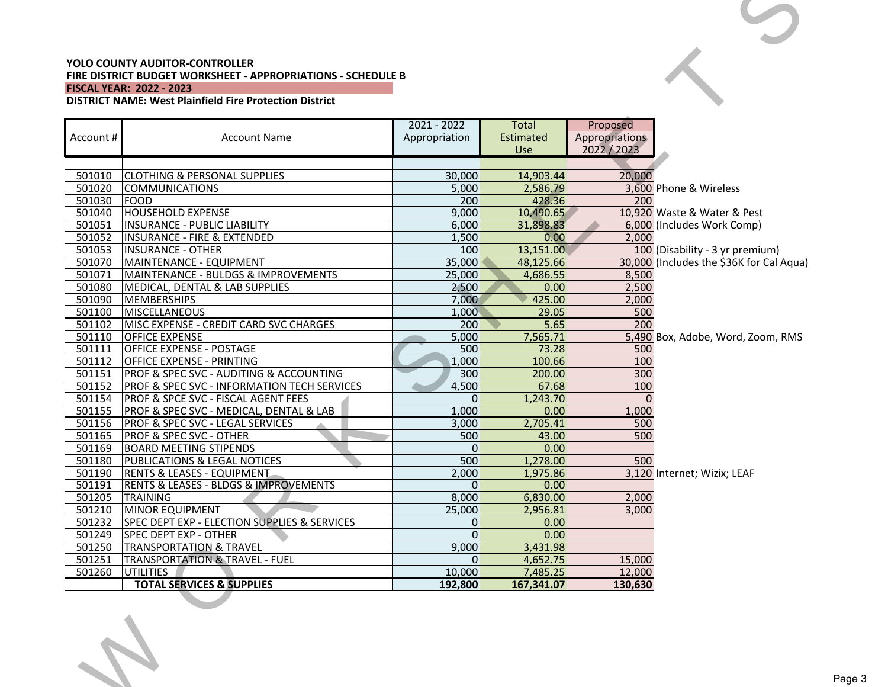### **YOLO COUNTY AUDITOR-CONTROLLER FIRE DISTRICT BUDGET WORKSHEET - APPROPRIATIONS - SCHEDULE B FISCAL YEAR: 2022 - 2023**

W

| <b>YOLO COUNTY AUDITOR-CONTROLLER</b><br>FIRE DISTRICT BUDGET WORKSHEET - APPROPRIATIONS - SCHEDULE B<br><b>FISCAL YEAR: 2022 - 2023</b><br><b>DISTRICT NAME: West Plainfield Fire Protection District</b> |                                                          |                   |                     |                   |                                          |
|------------------------------------------------------------------------------------------------------------------------------------------------------------------------------------------------------------|----------------------------------------------------------|-------------------|---------------------|-------------------|------------------------------------------|
|                                                                                                                                                                                                            |                                                          | $2021 - 2022$     | Total               | Proposed          |                                          |
| Account #                                                                                                                                                                                                  | <b>Account Name</b>                                      | Appropriation     | Estimated           | Appropriations    |                                          |
|                                                                                                                                                                                                            |                                                          |                   | Use                 | 2022/2023         |                                          |
|                                                                                                                                                                                                            |                                                          |                   |                     |                   |                                          |
| 501010<br>501020                                                                                                                                                                                           | <b>CLOTHING &amp; PERSONAL SUPPLIES</b>                  | 30,000            | 14,903.44           | 20,000            |                                          |
|                                                                                                                                                                                                            | <b>COMMUNICATIONS</b>                                    | 5,000             | 2,586.79            |                   | 3.600 Phone & Wireless                   |
| 501030<br>501040                                                                                                                                                                                           | FOOD<br><b>HOUSEHOLD EXPENSE</b>                         | 200<br>9,000      | 428.36<br>10,490.65 | 200               | 10,920 Waste & Water & Pest              |
| 501051                                                                                                                                                                                                     | <b>INSURANCE - PUBLIC LIABILITY</b>                      | 6,000             | 31,898.83           |                   | 6,000 (Includes Work Comp)               |
| 501052                                                                                                                                                                                                     | <b>INSURANCE - FIRE &amp; EXTENDED</b>                   | 1,500             | 0.00                | 2,000             |                                          |
| 501053                                                                                                                                                                                                     | <b>INSURANCE - OTHER</b>                                 | 100               | 13,151.00           |                   | 100 (Disability - 3 yr premium)          |
| 501070                                                                                                                                                                                                     | MAINTENANCE - EQUIPMENT                                  | 35,000            | 48,125.66           |                   | 30,000 (Includes the \$36K for Cal Aqua) |
| 501071                                                                                                                                                                                                     | MAINTENANCE - BULDGS & IMPROVEMENTS                      | 25,000            | 4,686.55            | 8,500             |                                          |
| 501080                                                                                                                                                                                                     | MEDICAL, DENTAL & LAB SUPPLIES                           | 2,500             | 0.00                | 2,500             |                                          |
| 501090                                                                                                                                                                                                     | <b>MEMBERSHIPS</b>                                       | 7,000             | 425.00              | 2,000             |                                          |
| 501100                                                                                                                                                                                                     | <b>MISCELLANEOUS</b>                                     | 1,000             | 29.05               | 500               |                                          |
| 501102                                                                                                                                                                                                     | MISC EXPENSE - CREDIT CARD SVC CHARGES                   | 200               | 5.65                | 200               |                                          |
| 501110                                                                                                                                                                                                     | <b>OFFICE EXPENSE</b>                                    | 5,000             | 7,565.71            |                   | 5,490 Box, Adobe, Word, Zoom, RMS        |
| 501111                                                                                                                                                                                                     | <b>OFFICE EXPENSE - POSTAGE</b>                          | 500               | 73.28               | 500               |                                          |
| 501112                                                                                                                                                                                                     | <b>OFFICE EXPENSE - PRINTING</b>                         | 1,000             | 100.66              | 100               |                                          |
| 501151                                                                                                                                                                                                     | <b>PROF &amp; SPEC SVC - AUDITING &amp; ACCOUNTING</b>   | 300               | 200.00              | 300               |                                          |
| 501152                                                                                                                                                                                                     | <b>PROF &amp; SPEC SVC - INFORMATION TECH SERVICES</b>   | 4,500             | 67.68               | 100               |                                          |
| 501154                                                                                                                                                                                                     | <b>PROF &amp; SPCE SVC - FISCAL AGENT FEES</b>           | $\Omega$          | 1,243.70            | $\Omega$          |                                          |
| 501155                                                                                                                                                                                                     | PROF & SPEC SVC - MEDICAL, DENTAL & LAB                  | 1,000             | 0.00                | 1,000             |                                          |
| 501156                                                                                                                                                                                                     | <b>PROF &amp; SPEC SVC - LEGAL SERVICES</b>              | 3,000             | 2,705.41            | 500               |                                          |
| 501165                                                                                                                                                                                                     | <b>PROF &amp; SPEC SVC - OTHER</b>                       | 500               | 43.00               | 500               |                                          |
| 501169                                                                                                                                                                                                     | <b>BOARD MEETING STIPENDS</b>                            | $\Omega$          | 0.00                |                   |                                          |
| 501180                                                                                                                                                                                                     | <b>PUBLICATIONS &amp; LEGAL NOTICES</b>                  | 500               | 1,278.00            | 500               |                                          |
| 501190                                                                                                                                                                                                     | <b>RENTS &amp; LEASES - EQUIPMENT</b>                    | 2,000             | 1,975.86            |                   | 3,120 Internet; Wizix; LEAF              |
| 501191                                                                                                                                                                                                     | <b>RENTS &amp; LEASES - BLDGS &amp; IMPROVEMENTS</b>     | $\Omega$          | 0.00                |                   |                                          |
| 501205                                                                                                                                                                                                     | <b>TRAINING</b>                                          | 8,000             | 6,830.00            | 2,000             |                                          |
| 501210                                                                                                                                                                                                     | MINOR EQUIPMENT                                          | 25,000            | 2,956.81            | 3,000             |                                          |
| 501232                                                                                                                                                                                                     | SPEC DEPT EXP - ELECTION SUPPLIES & SERVICES             | $\Omega$          | 0.00                |                   |                                          |
| 501249                                                                                                                                                                                                     | <b>SPEC DEPT EXP - OTHER</b>                             | $\Omega$          | 0.00                |                   |                                          |
| 501250                                                                                                                                                                                                     | <b>TRANSPORTATION &amp; TRAVEL</b>                       | 9,000             | 3,431.98            |                   |                                          |
| 501251                                                                                                                                                                                                     | <b>TRANSPORTATION &amp; TRAVEL - FUEL</b>                | $\Omega$          | 4,652.75            | 15,000            |                                          |
| 501260                                                                                                                                                                                                     | <b>UTILITIES</b><br><b>TOTAL SERVICES &amp; SUPPLIES</b> | 10,000<br>192,800 | 7,485.25            | 12,000<br>130,630 |                                          |
|                                                                                                                                                                                                            | a ka                                                     |                   | 167,341.07          |                   |                                          |